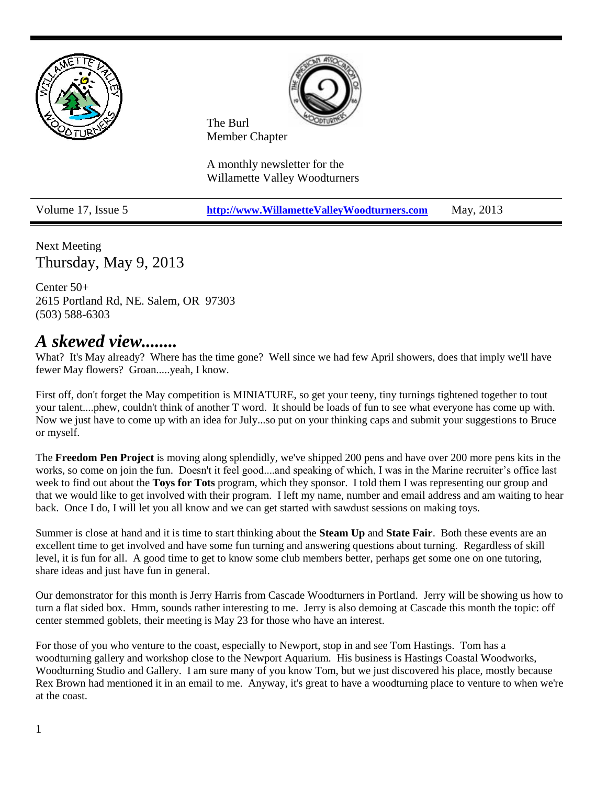



The Burl Member Chapter

A monthly newsletter for the Willamette Valley Woodturners

Volume 17, Issue 5 **[http://www.WillametteValleyWoodturners.com](http://www.willamettevalleywoodturners.com/)** May, 2013

Next Meeting Thursday, May 9, 2013

Center 50+ 2615 Portland Rd, NE. Salem, OR 97303 (503) 588-6303

## *A skewed view........*

What? It's May already? Where has the time gone? Well since we had few April showers, does that imply we'll have fewer May flowers? Groan.....yeah, I know.

First off, don't forget the May competition is MINIATURE, so get your teeny, tiny turnings tightened together to tout your talent....phew, couldn't think of another T word. It should be loads of fun to see what everyone has come up with. Now we just have to come up with an idea for July...so put on your thinking caps and submit your suggestions to Bruce or myself.

The **Freedom Pen Project** is moving along splendidly, we've shipped 200 pens and have over 200 more pens kits in the works, so come on join the fun. Doesn't it feel good....and speaking of which, I was in the Marine recruiter's office last week to find out about the **Toys for Tots** program, which they sponsor. I told them I was representing our group and that we would like to get involved with their program. I left my name, number and email address and am waiting to hear back. Once I do, I will let you all know and we can get started with sawdust sessions on making toys.

Summer is close at hand and it is time to start thinking about the **Steam Up** and **State Fair**. Both these events are an excellent time to get involved and have some fun turning and answering questions about turning. Regardless of skill level, it is fun for all. A good time to get to know some club members better, perhaps get some one on one tutoring, share ideas and just have fun in general.

Our demonstrator for this month is Jerry Harris from Cascade Woodturners in Portland. Jerry will be showing us how to turn a flat sided box. Hmm, sounds rather interesting to me. Jerry is also demoing at Cascade this month the topic: off center stemmed goblets, their meeting is May 23 for those who have an interest.

For those of you who venture to the coast, especially to Newport, stop in and see Tom Hastings. Tom has a woodturning gallery and workshop close to the Newport Aquarium. His business is Hastings Coastal Woodworks, Woodturning Studio and Gallery. I am sure many of you know Tom, but we just discovered his place, mostly because Rex Brown had mentioned it in an email to me. Anyway, it's great to have a woodturning place to venture to when we're at the coast.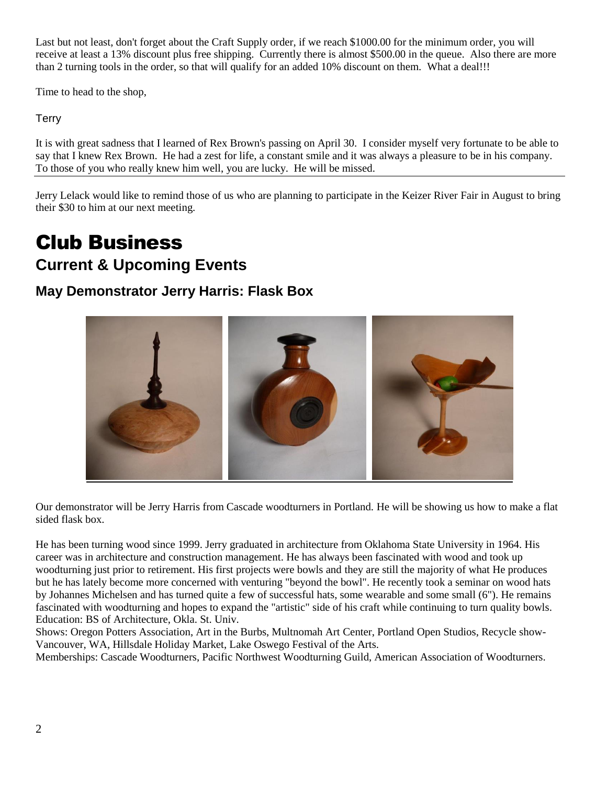Last but not least, don't forget about the Craft Supply order, if we reach \$1000.00 for the minimum order, you will receive at least a 13% discount plus free shipping. Currently there is almost \$500.00 in the queue. Also there are more than 2 turning tools in the order, so that will qualify for an added 10% discount on them. What a deal!!!

Time to head to the shop,

**Terry** 

It is with great sadness that I learned of Rex Brown's passing on April 30. I consider myself very fortunate to be able to say that I knew Rex Brown. He had a zest for life, a constant smile and it was always a pleasure to be in his company. To those of you who really knew him well, you are lucky. He will be missed.

Jerry Lelack would like to remind those of us who are planning to participate in the Keizer River Fair in August to bring their \$30 to him at our next meeting.

# Club Business

## **Current & Upcoming Events**

## **May Demonstrator Jerry Harris: Flask Box**



Our demonstrator will be Jerry Harris from Cascade woodturners in Portland. He will be showing us how to make a flat sided flask box.

He has been turning wood since 1999. Jerry graduated in architecture from Oklahoma State University in 1964. His career was in architecture and construction management. He has always been fascinated with wood and took up woodturning just prior to retirement. His first projects were bowls and they are still the majority of what He produces but he has lately become more concerned with venturing "beyond the bowl". He recently took a seminar on wood hats by Johannes Michelsen and has turned quite a few of successful hats, some wearable and some small (6"). He remains fascinated with woodturning and hopes to expand the "artistic" side of his craft while continuing to turn quality bowls. Education: BS of Architecture, Okla. St. Univ.

Shows: Oregon Potters Association, Art in the Burbs, Multnomah Art Center, Portland Open Studios, Recycle show-Vancouver, WA, Hillsdale Holiday Market, Lake Oswego Festival of the Arts.

Memberships: Cascade Woodturners, Pacific Northwest Woodturning Guild, American Association of Woodturners.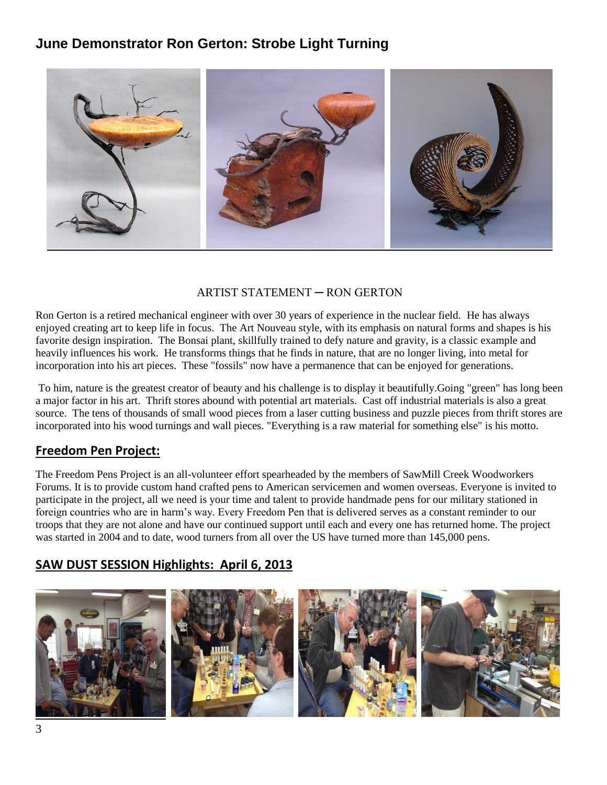### **June Demonstrator Ron Gerton: Strobe Light Turning**



#### ARTIST STATEMENT ─ RON GERTON

Ron Gerton is a retired mechanical engineer with over 30 years of experience in the nuclear field. He has always enjoyed creating art to keep life in focus. The Art Nouveau style, with its emphasis on natural forms and shapes is his favorite design inspiration. The Bonsai plant, skillfully trained to defy nature and gravity, is a classic example and heavily influences his work. He transforms things that he finds in nature, that are no longer living, into metal for incorporation into his art pieces. These "fossils" now have a permanence that can be enjoyed for generations.

To him, nature is the greatest creator of beauty and his challenge is to display it beautifully.Going "green" has long been a major factor in his art. Thrift stores abound with potential art materials. Cast off industrial materials is also a great source. The tens of thousands of small wood pieces from a laser cutting business and puzzle pieces from thrift stores are incorporated into his wood turnings and wall pieces. "Everything is a raw material for something else" is his motto.

#### **Freedom Pen Project:**

The Freedom Pens Project is an all-volunteer effort spearheaded by the members of SawMill Creek Woodworkers Forums. It is to provide custom hand crafted pens to American servicemen and women overseas. Everyone is invited to participate in the project, all we need is your time and talent to provide handmade pens for our military stationed in foreign countries who are in harm's way. Every Freedom Pen that is delivered serves as a constant reminder to our troops that they are not alone and have our continued support until each and every one has returned home. The project was started in 2004 and to date, wood turners from all over the US have turned more than 145,000 pens.

#### **SAW DUST SESSION Highlights: April 6, 2013**

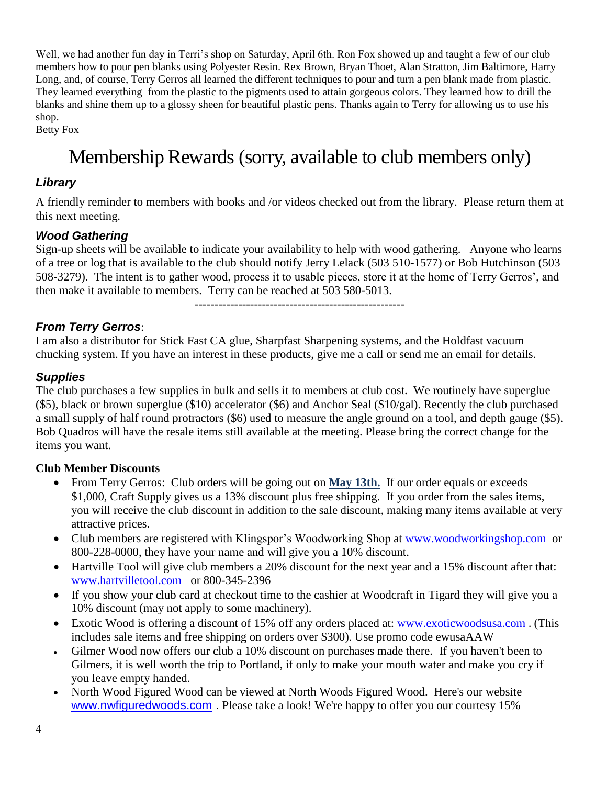Well, we had another fun day in Terri's shop on Saturday, April 6th. Ron Fox showed up and taught a few of our club members how to pour pen blanks using Polyester Resin. Rex Brown, Bryan Thoet, Alan Stratton, Jim Baltimore, Harry Long, and, of course, Terry Gerros all learned the different techniques to pour and turn a pen blank made from plastic. They learned everything from the plastic to the pigments used to attain gorgeous colors. They learned how to drill the blanks and shine them up to a glossy sheen for beautiful plastic pens. Thanks again to Terry for allowing us to use his shop.

Betty Fox

## Membership Rewards (sorry, available to club members only)

#### *Library*

A friendly reminder to members with books and /or videos checked out from the library. Please return them at this next meeting.

#### *Wood Gathering*

Sign-up sheets will be available to indicate your availability to help with wood gathering. Anyone who learns of a tree or log that is available to the club should notify Jerry Lelack (503 510-1577) or Bob Hutchinson (503 508-3279). The intent is to gather wood, process it to usable pieces, store it at the home of Terry Gerros', and then make it available to members. Terry can be reached at 503 580-5013.

-----------------------------------------------------

#### *From Terry Gerros*:

I am also a distributor for Stick Fast CA glue, Sharpfast Sharpening systems, and the Holdfast vacuum chucking system. If you have an interest in these products, give me a call or send me an email for details.

#### *Supplies*

The club purchases a few supplies in bulk and sells it to members at club cost. We routinely have superglue (\$5), black or brown superglue (\$10) accelerator (\$6) and Anchor Seal (\$10/gal). Recently the club purchased a small supply of half round protractors (\$6) used to measure the angle ground on a tool, and depth gauge (\$5). Bob Quadros will have the resale items still available at the meeting. Please bring the correct change for the items you want.

#### **Club Member Discounts**

- From Terry Gerros: Club orders will be going out on **May 13th.** If our order equals or exceeds \$1,000, Craft Supply gives us a 13% discount plus free shipping. If you order from the sales items, you will receive the club discount in addition to the sale discount, making many items available at very attractive prices.
- Club members are registered with Klingspor's Woodworking Shop at [www.woodworkingshop.com](http://www.woodworkingshop.com/) or 800-228-0000, they have your name and will give you a 10% discount.
- Hartville Tool will give club members a 20% discount for the next year and a 15% discount after that: [www.hartvilletool.com](http://www.hartvilletool.com/) or 800-345-2396
- If you show your club card at checkout time to the cashier at Woodcraft in Tigard they will give you a 10% discount (may not apply to some machinery).
- Exotic Wood is offering a discount of 15% off any orders placed at: [www.exoticwoodsusa.com](http://www.exoticwoodsusa.com/) . (This includes sale items and free shipping on orders over \$300). Use promo code ewusaAAW
- Gilmer Wood now offers our club a 10% discount on purchases made there. If you haven't been to Gilmers, it is well worth the trip to Portland, if only to make your mouth water and make you cry if you leave empty handed.
- North Wood Figured Wood can be viewed at North Woods Figured Wood. Here's our website [www.nwfiguredwoods.com](http://www.nwfiguredwoods.com/) . Please take a look! We're happy to offer you our courtesy 15%